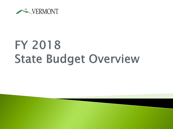

# FY 2018 **State Budget Overview**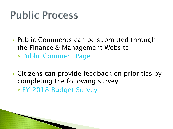## **Public Process**

▶ Public Comments can be submitted through the Finance & Management Website

◦ [Public Comment Page](http://finance.vermont.gov/about-department/contact-us/public-comments-budget-process)

▶ Citizens can provide feedback on priorities by completing the following survey ◦ [FY 2018 Budget Survey](https://www.surveymonkey.com/r/VT_2018_budget)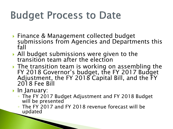## **Budget Process to Date**

- ▶ Finance & Management collected budget submissions from Agencies and Departments this fall
- All budget submissions were given to the transition team after the election
- ▶ The transition team is working on assembling the FY 2018 Governor's budget, the FY 2017 Budget Adjustment, the FY 2018 Capital Bill, and the FY 2018 Fee Bill
- $\blacktriangleright$  In January:

- The FY 2017 Budget Adjustment and FY 2018 Budget will be presented
- The FY 2017 and FY 2018 revenue forecast will be updated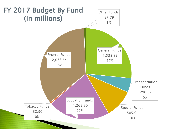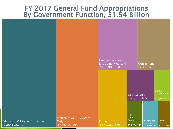#### FY 2017 General Fund Appropriations By Government Function, \$1.54 Billion

|                                              |                                                | Human Services -<br><b>Excluding Medicaid</b><br>\$169,900,918 |                                               | <b>Corrections</b><br>\$142,751,358               |                                             |
|----------------------------------------------|------------------------------------------------|----------------------------------------------------------------|-----------------------------------------------|---------------------------------------------------|---------------------------------------------|
|                                              |                                                |                                                                | <b>Debt Service</b><br>\$71,119,465           |                                                   | General<br>Government<br>\$42,199,961       |
| ducation & Higher Education<br>\$500,192,792 | Medicaid/GC/LTC/State<br>Only<br>\$386,400,964 | Protection<br>\$139,882,179                                    | Other -<br>Labor,<br>Commerce<br>\$35,266,245 | <b>Property Tax</b><br>Assistance<br>\$34,641,776 | Natural<br><b>Resources</b><br>\$27,106,133 |